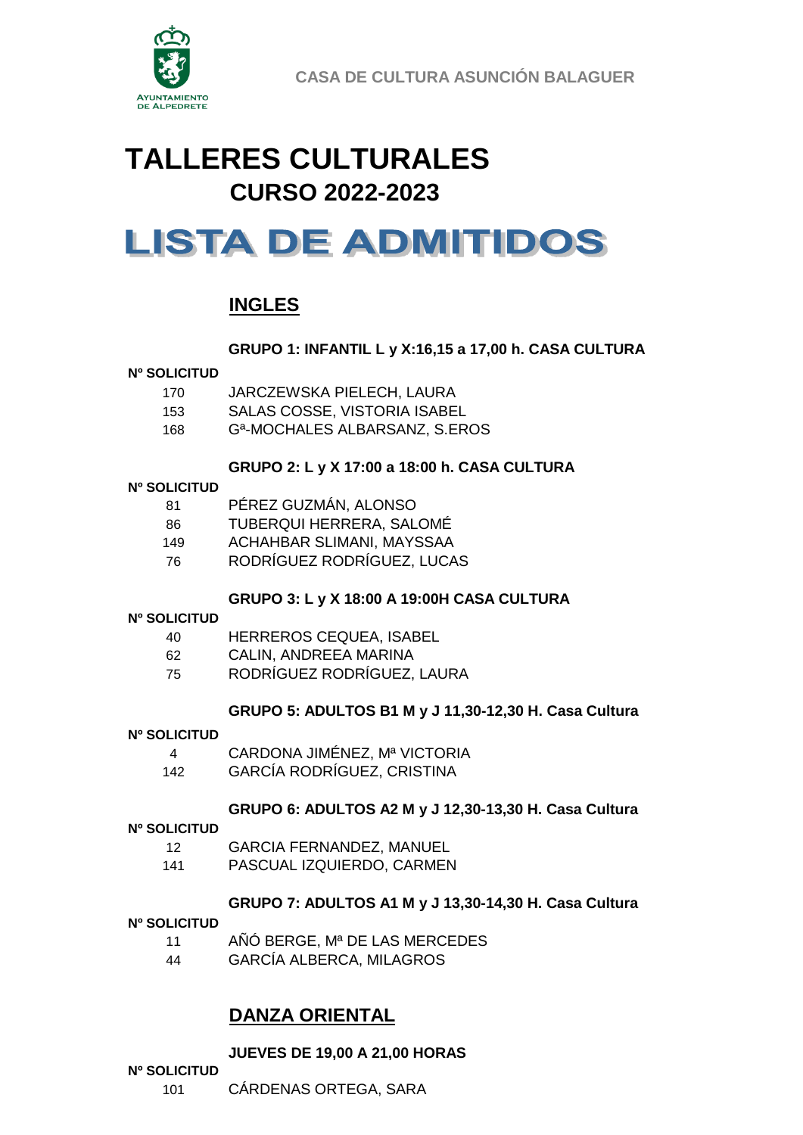

**CASA DE CULTURA ASUNCIÓN BALAGUER**

## **TALLERES CULTURALES CURSO 2022-2023**

# **LISTA DE ADMITIDOS**

## **INGLES**

#### **GRUPO 1: INFANTIL L y X:16,15 a 17,00 h. CASA CULTURA**

#### **Nº SOLICITUD**

170 JARCZEWSKA PIELECH, LAURA 153 SALAS COSSE, VISTORIA ISABEL 168 Gª-MOCHALES ALBARSANZ, S.EROS

## **GRUPO 2: L y X 17:00 a 18:00 h. CASA CULTURA**

#### **Nº SOLICITUD**

- 81 PÉREZ GUZMÁN, ALONSO
- 86 TUBERQUI HERRERA, SALOMÉ
- 149 ACHAHBAR SLIMANI, MAYSSAA
- 76 RODRÍGUEZ RODRÍGUEZ, LUCAS

#### **GRUPO 3: L y X 18:00 A 19:00H CASA CULTURA**

#### **Nº SOLICITUD**

- 40 HERREROS CEQUEA, ISABEL
- 62 CALIN, ANDREEA MARINA
- 75 RODRÍGUEZ RODRÍGUEZ, LAURA

#### **GRUPO 5: ADULTOS B1 M y J 11,30-12,30 H. Casa Cultura**

#### **Nº SOLICITUD**

- 4 CARDONA JIMÉNEZ, Mª VICTORIA
- 142 GARCÍA RODRÍGUEZ, CRISTINA

#### **GRUPO 6: ADULTOS A2 M y J 12,30-13,30 H. Casa Cultura**

#### **Nº SOLICITUD**

- 12 GARCIA FERNANDEZ, MANUEL
- 141 PASCUAL IZQUIERDO, CARMEN

#### **GRUPO 7: ADULTOS A1 M y J 13,30-14,30 H. Casa Cultura**

#### **Nº SOLICITUD**

- 11 AÑÓ BERGE, Mª DE LAS MERCEDES
- 44 GARCÍA ALBERCA, MILAGROS

## **DANZA ORIENTAL**

#### **JUEVES DE 19,00 A 21,00 HORAS**

#### **Nº SOLICITUD**

101 CÁRDENAS ORTEGA, SARA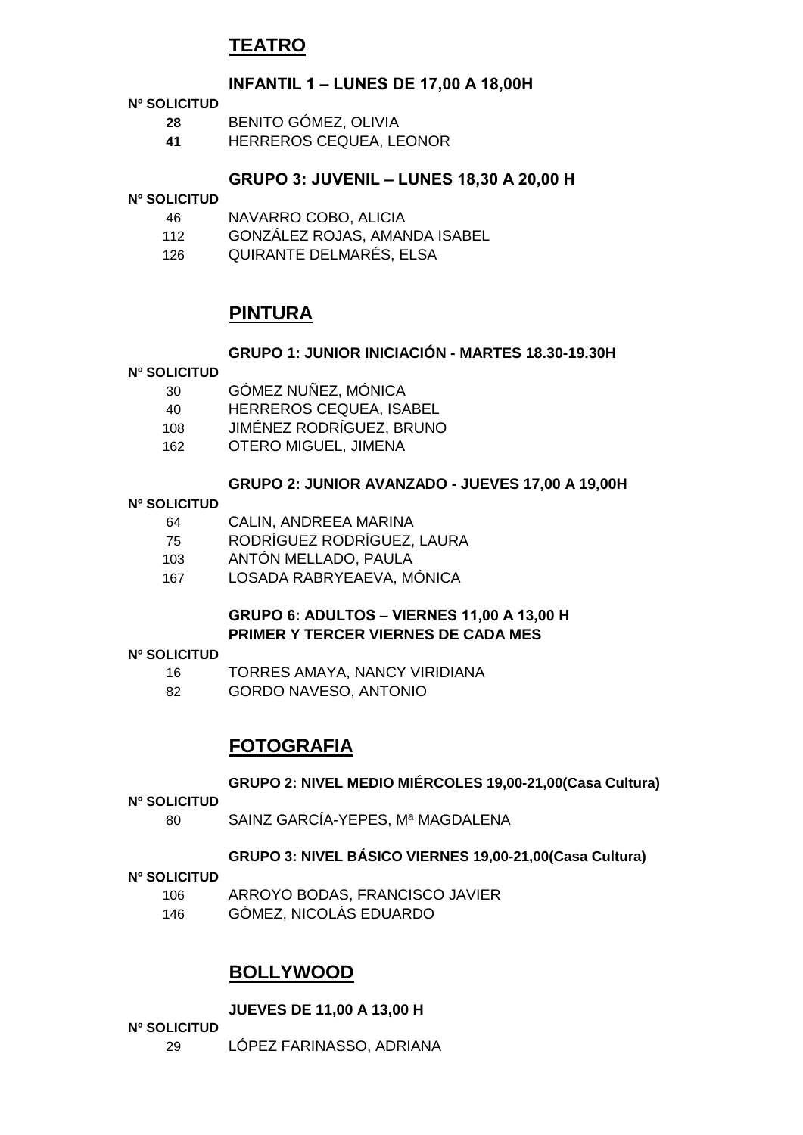## **TEATRO**

#### **INFANTIL 1 – LUNES DE 17,00 A 18,00H**

#### **Nº SOLICITUD**

- **28** BENITO GÓMEZ, OLIVIA
- **41** HERREROS CEQUEA, LEONOR

#### **GRUPO 3: JUVENIL – LUNES 18,30 A 20,00 H**

#### **Nº SOLICITUD**

- 46 NAVARRO COBO, ALICIA
- 112 GONZÁLEZ ROJAS, AMANDA ISABEL
- 126 QUIRANTE DELMARÉS, ELSA

## **PINTURA**

#### **GRUPO 1: JUNIOR INICIACIÓN - MARTES 18.30-19.30H**

#### **Nº SOLICITUD**

- 30 GÓMEZ NUÑEZ, MÓNICA 40 HERREROS CEQUEA, ISABEL 108 JIMÉNEZ RODRÍGUEZ, BRUNO
- 162 OTERO MIGUEL, JIMENA

#### **GRUPO 2: JUNIOR AVANZADO - JUEVES 17,00 A 19,00H**

#### **Nº SOLICITUD**

| 64 | CALIN, ANDREEA MARINA |  |
|----|-----------------------|--|
|    |                       |  |

- 75 RODRÍGUEZ RODRÍGUEZ, LAURA
- 103 ANTÓN MELLADO, PAULA
- 167 LOSADA RABRYEAEVA, MÓNICA

#### **GRUPO 6: ADULTOS – VIERNES 11,00 A 13,00 H PRIMER Y TERCER VIERNES DE CADA MES**

#### **Nº SOLICITUD**

- 16 TORRES AMAYA, NANCY VIRIDIANA
- 82 GORDO NAVESO, ANTONIO

### **FOTOGRAFIA**

#### **GRUPO 2: NIVEL MEDIO MIÉRCOLES 19,00-21,00(Casa Cultura)**

#### **Nº SOLICITUD**

80 SAINZ GARCÍA-YEPES, Mª MAGDALENA

#### **GRUPO 3: NIVEL BÁSICO VIERNES 19,00-21,00(Casa Cultura)**

#### **Nº SOLICITUD**

- 106 ARROYO BODAS, FRANCISCO JAVIER
- 146 GÓMEZ, NICOLÁS EDUARDO

### **BOLLYWOOD**

#### **JUEVES DE 11,00 A 13,00 H**

- **Nº SOLICITUD**
	- 29 LÓPEZ FARINASSO, ADRIANA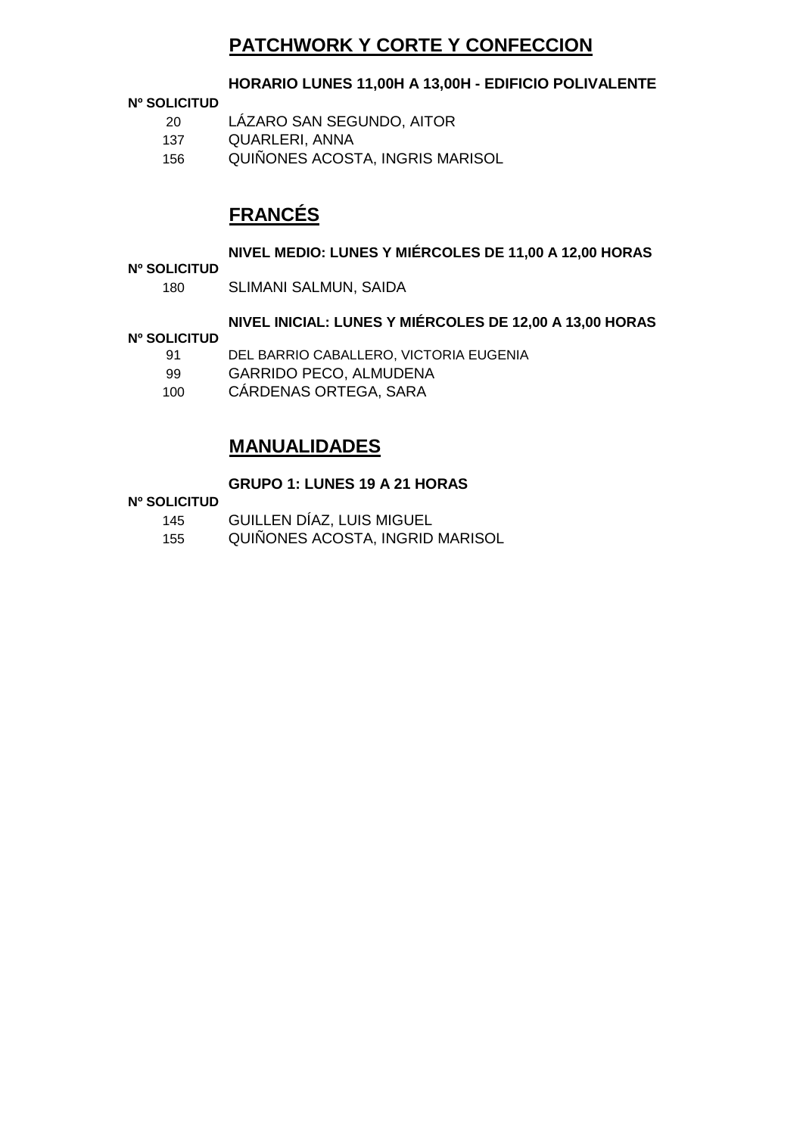## **PATCHWORK Y CORTE Y CONFECCION**

#### **HORARIO LUNES 11,00H A 13,00H - EDIFICIO POLIVALENTE**

#### **Nº SOLICITUD**

- 20 LÁZARO SAN SEGUNDO, AITOR
- 137 QUARLERI, ANNA
- 156 QUIÑONES ACOSTA, INGRIS MARISOL

## **FRANCÉS**

#### **NIVEL MEDIO: LUNES Y MIÉRCOLES DE 11,00 A 12,00 HORAS**

#### **Nº SOLICITUD**

180 SLIMANI SALMUN, SAIDA

#### **NIVEL INICIAL: LUNES Y MIÉRCOLES DE 12,00 A 13,00 HORAS**

#### **Nº SOLICITUD**

- 91 DEL BARRIO CABALLERO, VICTORIA EUGENIA
- 99 GARRIDO PECO, ALMUDENA
- 100 CÁRDENAS ORTEGA, SARA

## **MANUALIDADES**

#### **GRUPO 1: LUNES 19 A 21 HORAS**

#### **Nº SOLICITUD**

- 145 GUILLEN DÍAZ, LUIS MIGUEL
- 155 QUIÑONES ACOSTA, INGRID MARISOL